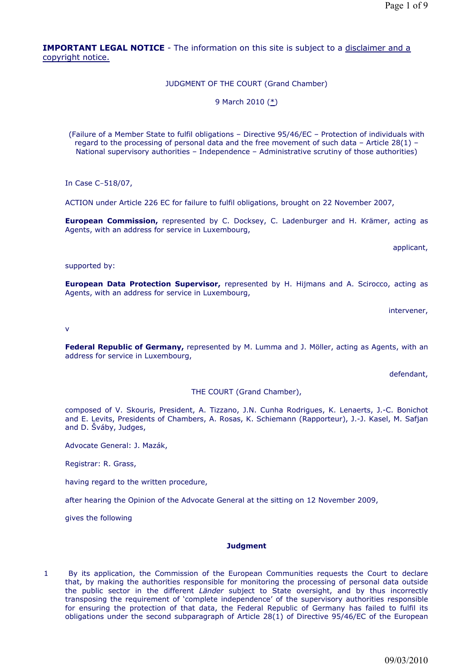**IMPORTANT LEGAL NOTICE** - The information on this site is subject to a disclaimer and a copyright notice.

JUDGMENT OF THE COURT (Grand Chamber)

9 March 2010 (\*)

(Failure of a Member State to fulfil obligations – Directive 95/46/EC – Protection of individuals with regard to the processing of personal data and the free movement of such data – Article 28(1) – National supervisory authorities – Independence – Administrative scrutiny of those authorities)

In Case C-518/07,

supported by:

ACTION under Article 226 EC for failure to fulfil obligations, brought on 22 November 2007,

**European Commission,** represented by C. Docksey, C. Ladenburger and H. Krämer, acting as Agents, with an address for service in Luxembourg,

**European Data Protection Supervisor,** represented by H. Hijmans and A. Scirocco, acting as Agents, with an address for service in Luxembourg,

intervener,

applicant,

Page 1 of 9

v

**Federal Republic of Germany,** represented by M. Lumma and J. Möller, acting as Agents, with an address for service in Luxembourg,

defendant,

THE COURT (Grand Chamber),

composed of V. Skouris, President, A. Tizzano, J.N. Cunha Rodrigues, K. Lenaerts, J.-C. Bonichot and E. Levits, Presidents of Chambers, A. Rosas, K. Schiemann (Rapporteur), J.-J. Kasel, M. Safjan and D. Šváby, Judges,

Advocate General: J. Mazák,

Registrar: R. Grass,

having regard to the written procedure,

after hearing the Opinion of the Advocate General at the sitting on 12 November 2009,

gives the following

# **Judgment**

1 By its application, the Commission of the European Communities requests the Court to declare that, by making the authorities responsible for monitoring the processing of personal data outside the public sector in the different *Länder* subject to State oversight, and by thus incorrectly transposing the requirement of 'complete independence' of the supervisory authorities responsible for ensuring the protection of that data, the Federal Republic of Germany has failed to fulfil its obligations under the second subparagraph of Article 28(1) of Directive 95/46/EC of the European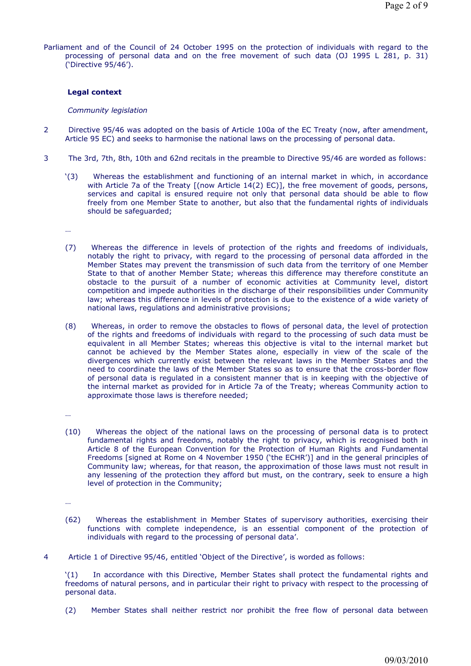Parliament and of the Council of 24 October 1995 on the protection of individuals with regard to the processing of personal data and on the free movement of such data (OJ 1995 L 281, p. 31) ('Directive 95/46').

# **Legal context**

### *Community legislation*

- 2 Directive 95/46 was adopted on the basis of Article 100a of the EC Treaty (now, after amendment, Article 95 EC) and seeks to harmonise the national laws on the processing of personal data.
- 3 The 3rd, 7th, 8th, 10th and 62nd recitals in the preamble to Directive 95/46 are worded as follows:
	- '(3) Whereas the establishment and functioning of an internal market in which, in accordance with Article 7a of the Treaty [(now Article 14(2) EC)], the free movement of goods, persons, services and capital is ensured require not only that personal data should be able to flow freely from one Member State to another, but also that the fundamental rights of individuals should be safeguarded;
	- …
	- (7) Whereas the difference in levels of protection of the rights and freedoms of individuals, notably the right to privacy, with regard to the processing of personal data afforded in the Member States may prevent the transmission of such data from the territory of one Member State to that of another Member State; whereas this difference may therefore constitute an obstacle to the pursuit of a number of economic activities at Community level, distort competition and impede authorities in the discharge of their responsibilities under Community law; whereas this difference in levels of protection is due to the existence of a wide variety of national laws, regulations and administrative provisions;
	- (8) Whereas, in order to remove the obstacles to flows of personal data, the level of protection of the rights and freedoms of individuals with regard to the processing of such data must be equivalent in all Member States; whereas this objective is vital to the internal market but cannot be achieved by the Member States alone, especially in view of the scale of the divergences which currently exist between the relevant laws in the Member States and the need to coordinate the laws of the Member States so as to ensure that the cross-border flow of personal data is regulated in a consistent manner that is in keeping with the objective of the internal market as provided for in Article 7a of the Treaty; whereas Community action to approximate those laws is therefore needed;

…

(10) Whereas the object of the national laws on the processing of personal data is to protect fundamental rights and freedoms, notably the right to privacy, which is recognised both in Article 8 of the European Convention for the Protection of Human Rights and Fundamental Freedoms [signed at Rome on 4 November 1950 ('the ECHR')] and in the general principles of Community law; whereas, for that reason, the approximation of those laws must not result in any lessening of the protection they afford but must, on the contrary, seek to ensure a high level of protection in the Community;

…

- (62) Whereas the establishment in Member States of supervisory authorities, exercising their functions with complete independence, is an essential component of the protection of individuals with regard to the processing of personal data'.
- 4 Article 1 of Directive 95/46, entitled 'Object of the Directive', is worded as follows:

'(1) In accordance with this Directive, Member States shall protect the fundamental rights and freedoms of natural persons, and in particular their right to privacy with respect to the processing of personal data.

(2) Member States shall neither restrict nor prohibit the free flow of personal data between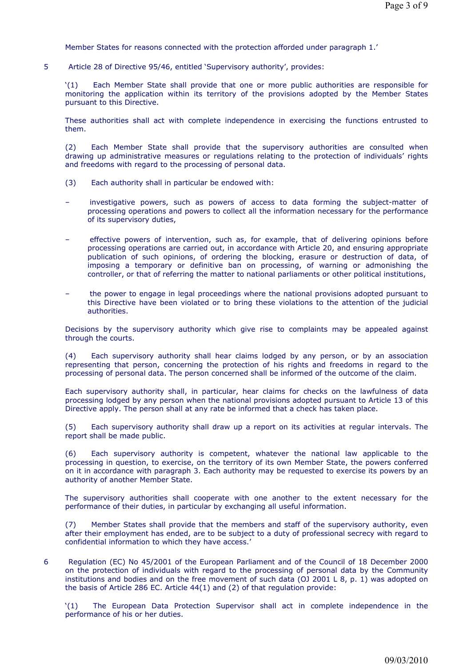Member States for reasons connected with the protection afforded under paragraph 1.'

5 Article 28 of Directive 95/46, entitled 'Supervisory authority', provides:

'(1) Each Member State shall provide that one or more public authorities are responsible for monitoring the application within its territory of the provisions adopted by the Member States pursuant to this Directive.

These authorities shall act with complete independence in exercising the functions entrusted to them.

(2) Each Member State shall provide that the supervisory authorities are consulted when drawing up administrative measures or regulations relating to the protection of individuals' rights and freedoms with regard to the processing of personal data.

- (3) Each authority shall in particular be endowed with:
- investigative powers, such as powers of access to data forming the subject-matter of processing operations and powers to collect all the information necessary for the performance of its supervisory duties,
- effective powers of intervention, such as, for example, that of delivering opinions before processing operations are carried out, in accordance with Article 20, and ensuring appropriate publication of such opinions, of ordering the blocking, erasure or destruction of data, of imposing a temporary or definitive ban on processing, of warning or admonishing the controller, or that of referring the matter to national parliaments or other political institutions,
- the power to engage in legal proceedings where the national provisions adopted pursuant to this Directive have been violated or to bring these violations to the attention of the judicial authorities.

Decisions by the supervisory authority which give rise to complaints may be appealed against through the courts.

(4) Each supervisory authority shall hear claims lodged by any person, or by an association representing that person, concerning the protection of his rights and freedoms in regard to the processing of personal data. The person concerned shall be informed of the outcome of the claim.

Each supervisory authority shall, in particular, hear claims for checks on the lawfulness of data processing lodged by any person when the national provisions adopted pursuant to Article 13 of this Directive apply. The person shall at any rate be informed that a check has taken place.

(5) Each supervisory authority shall draw up a report on its activities at regular intervals. The report shall be made public.

(6) Each supervisory authority is competent, whatever the national law applicable to the processing in question, to exercise, on the territory of its own Member State, the powers conferred on it in accordance with paragraph 3. Each authority may be requested to exercise its powers by an authority of another Member State.

The supervisory authorities shall cooperate with one another to the extent necessary for the performance of their duties, in particular by exchanging all useful information.

(7) Member States shall provide that the members and staff of the supervisory authority, even after their employment has ended, are to be subject to a duty of professional secrecy with regard to confidential information to which they have access.'

6 Regulation (EC) No 45/2001 of the European Parliament and of the Council of 18 December 2000 on the protection of individuals with regard to the processing of personal data by the Community institutions and bodies and on the free movement of such data (OJ 2001 L 8, p. 1) was adopted on the basis of Article 286 EC. Article 44(1) and (2) of that regulation provide:

'(1) The European Data Protection Supervisor shall act in complete independence in the performance of his or her duties.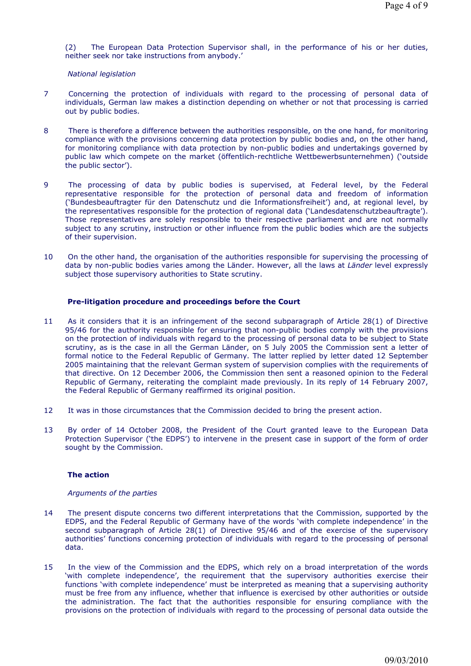(2) The European Data Protection Supervisor shall, in the performance of his or her duties, neither seek nor take instructions from anybody.'

#### *National legislation*

- 7 Concerning the protection of individuals with regard to the processing of personal data of individuals, German law makes a distinction depending on whether or not that processing is carried out by public bodies.
- 8 There is therefore a difference between the authorities responsible, on the one hand, for monitoring compliance with the provisions concerning data protection by public bodies and, on the other hand, for monitoring compliance with data protection by non-public bodies and undertakings governed by public law which compete on the market (öffentlich-rechtliche Wettbewerbsunternehmen) ('outside the public sector').
- 9 The processing of data by public bodies is supervised, at Federal level, by the Federal representative responsible for the protection of personal data and freedom of information ('Bundesbeauftragter für den Datenschutz und die Informationsfreiheit') and, at regional level, by the representatives responsible for the protection of regional data ('Landesdatenschutzbeauftragte'). Those representatives are solely responsible to their respective parliament and are not normally subject to any scrutiny, instruction or other influence from the public bodies which are the subjects of their supervision.
- 10 On the other hand, the organisation of the authorities responsible for supervising the processing of data by non-public bodies varies among the Länder. However, all the laws at *Länder* level expressly subject those supervisory authorities to State scrutiny.

### **Pre-litigation procedure and proceedings before the Court**

- 11 As it considers that it is an infringement of the second subparagraph of Article 28(1) of Directive 95/46 for the authority responsible for ensuring that non-public bodies comply with the provisions on the protection of individuals with regard to the processing of personal data to be subject to State scrutiny, as is the case in all the German Länder, on 5 July 2005 the Commission sent a letter of formal notice to the Federal Republic of Germany. The latter replied by letter dated 12 September 2005 maintaining that the relevant German system of supervision complies with the requirements of that directive. On 12 December 2006, the Commission then sent a reasoned opinion to the Federal Republic of Germany, reiterating the complaint made previously. In its reply of 14 February 2007, the Federal Republic of Germany reaffirmed its original position.
- 12 It was in those circumstances that the Commission decided to bring the present action.
- 13 By order of 14 October 2008, the President of the Court granted leave to the European Data Protection Supervisor ('the EDPS') to intervene in the present case in support of the form of order sought by the Commission.

#### **The action**

#### *Arguments of the parties*

- 14 The present dispute concerns two different interpretations that the Commission, supported by the EDPS, and the Federal Republic of Germany have of the words 'with complete independence' in the second subparagraph of Article 28(1) of Directive 95/46 and of the exercise of the supervisory authorities' functions concerning protection of individuals with regard to the processing of personal data.
- 15 In the view of the Commission and the EDPS, which rely on a broad interpretation of the words 'with complete independence', the requirement that the supervisory authorities exercise their functions 'with complete independence' must be interpreted as meaning that a supervising authority must be free from any influence, whether that influence is exercised by other authorities or outside the administration. The fact that the authorities responsible for ensuring compliance with the provisions on the protection of individuals with regard to the processing of personal data outside the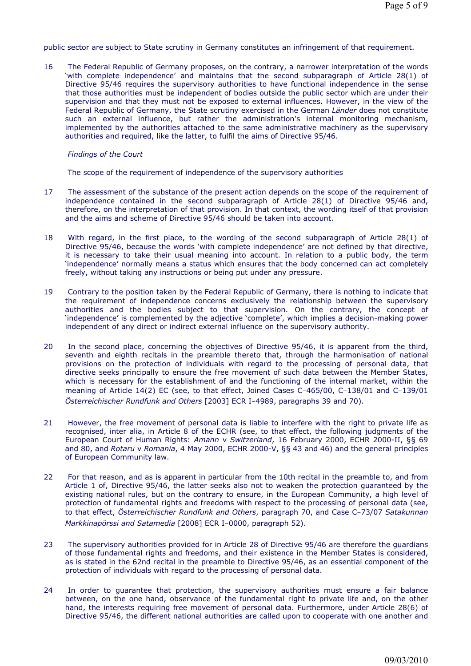public sector are subject to State scrutiny in Germany constitutes an infringement of that requirement.

16 The Federal Republic of Germany proposes, on the contrary, a narrower interpretation of the words 'with complete independence' and maintains that the second subparagraph of Article 28(1) of Directive 95/46 requires the supervisory authorities to have functional independence in the sense that those authorities must be independent of bodies outside the public sector which are under their supervision and that they must not be exposed to external influences. However, in the view of the Federal Republic of Germany, the State scrutiny exercised in the German *Länder* does not constitute such an external influence, but rather the administration's internal monitoring mechanism, implemented by the authorities attached to the same administrative machinery as the supervisory authorities and required, like the latter, to fulfil the aims of Directive 95/46.

#### *Findings of the Court*

The scope of the requirement of independence of the supervisory authorities

- 17 The assessment of the substance of the present action depends on the scope of the requirement of independence contained in the second subparagraph of Article 28(1) of Directive 95/46 and, therefore, on the interpretation of that provision. In that context, the wording itself of that provision and the aims and scheme of Directive 95/46 should be taken into account.
- 18 With regard, in the first place, to the wording of the second subparagraph of Article 28(1) of Directive 95/46, because the words 'with complete independence' are not defined by that directive, it is necessary to take their usual meaning into account. In relation to a public body, the term 'independence' normally means a status which ensures that the body concerned can act completely freely, without taking any instructions or being put under any pressure.
- 19 Contrary to the position taken by the Federal Republic of Germany, there is nothing to indicate that the requirement of independence concerns exclusively the relationship between the supervisory authorities and the bodies subject to that supervision. On the contrary, the concept of 'independence' is complemented by the adjective 'complete', which implies a decision-making power independent of any direct or indirect external influence on the supervisory authority.
- 20 In the second place, concerning the objectives of Directive 95/46, it is apparent from the third, seventh and eighth recitals in the preamble thereto that, through the harmonisation of national provisions on the protection of individuals with regard to the processing of personal data, that directive seeks principally to ensure the free movement of such data between the Member States, which is necessary for the establishment of and the functioning of the internal market, within the meaning of Article 14(2) EC (see, to that effect, Joined Cases C-465/00, C-138/01 and C-139/01 *Österreichischer Rundfunk and Others* [2003] ECR I-4989, paragraphs 39 and 70).
- 21 However, the free movement of personal data is liable to interfere with the right to private life as recognised, inter alia, in Article 8 of the ECHR (see, to that effect, the following judgments of the European Court of Human Rights: *Amann* v *Switzerland*, 16 February 2000, ECHR 2000-II, §§ 69 and 80, and *Rotaru* v *Romania*, 4 May 2000, ECHR 2000-V, §§ 43 and 46) and the general principles of European Community law.
- 22 For that reason, and as is apparent in particular from the 10th recital in the preamble to, and from Article 1 of, Directive 95/46, the latter seeks also not to weaken the protection guaranteed by the existing national rules, but on the contrary to ensure, in the European Community, a high level of protection of fundamental rights and freedoms with respect to the processing of personal data (see, to that effect, *Österreichischer Rundfunk and Others*, paragraph 70, and Case C-73/07 *Satakunnan Markkinapörssi and Satamedia* [2008] ECR I-0000, paragraph 52).
- 23 The supervisory authorities provided for in Article 28 of Directive 95/46 are therefore the guardians of those fundamental rights and freedoms, and their existence in the Member States is considered, as is stated in the 62nd recital in the preamble to Directive 95/46, as an essential component of the protection of individuals with regard to the processing of personal data.
- 24 In order to guarantee that protection, the supervisory authorities must ensure a fair balance between, on the one hand, observance of the fundamental right to private life and, on the other hand, the interests requiring free movement of personal data. Furthermore, under Article 28(6) of Directive 95/46, the different national authorities are called upon to cooperate with one another and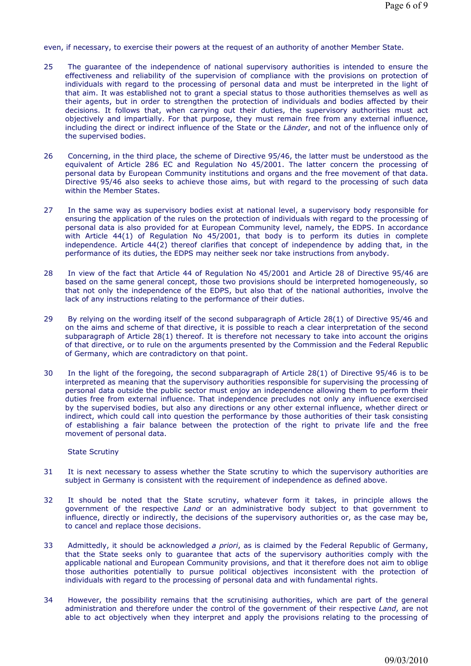even, if necessary, to exercise their powers at the request of an authority of another Member State.

- 25 The guarantee of the independence of national supervisory authorities is intended to ensure the effectiveness and reliability of the supervision of compliance with the provisions on protection of individuals with regard to the processing of personal data and must be interpreted in the light of that aim. It was established not to grant a special status to those authorities themselves as well as their agents, but in order to strengthen the protection of individuals and bodies affected by their decisions. It follows that, when carrying out their duties, the supervisory authorities must act objectively and impartially. For that purpose, they must remain free from any external influence, including the direct or indirect influence of the State or the *Länder*, and not of the influence only of the supervised bodies.
- 26 Concerning, in the third place, the scheme of Directive 95/46, the latter must be understood as the equivalent of Article 286 EC and Regulation No 45/2001. The latter concern the processing of personal data by European Community institutions and organs and the free movement of that data. Directive 95/46 also seeks to achieve those aims, but with regard to the processing of such data within the Member States.
- 27 In the same way as supervisory bodies exist at national level, a supervisory body responsible for ensuring the application of the rules on the protection of individuals with regard to the processing of personal data is also provided for at European Community level, namely, the EDPS. In accordance with Article 44(1) of Regulation No 45/2001, that body is to perform its duties in complete independence. Article 44(2) thereof clarifies that concept of independence by adding that, in the performance of its duties, the EDPS may neither seek nor take instructions from anybody.
- 28 In view of the fact that Article 44 of Regulation No 45/2001 and Article 28 of Directive 95/46 are based on the same general concept, those two provisions should be interpreted homogeneously, so that not only the independence of the EDPS, but also that of the national authorities, involve the lack of any instructions relating to the performance of their duties.
- 29 By relying on the wording itself of the second subparagraph of Article 28(1) of Directive 95/46 and on the aims and scheme of that directive, it is possible to reach a clear interpretation of the second subparagraph of Article 28(1) thereof. It is therefore not necessary to take into account the origins of that directive, or to rule on the arguments presented by the Commission and the Federal Republic of Germany, which are contradictory on that point.
- 30 In the light of the foregoing, the second subparagraph of Article 28(1) of Directive 95/46 is to be interpreted as meaning that the supervisory authorities responsible for supervising the processing of personal data outside the public sector must enjoy an independence allowing them to perform their duties free from external influence. That independence precludes not only any influence exercised by the supervised bodies, but also any directions or any other external influence, whether direct or indirect, which could call into question the performance by those authorities of their task consisting of establishing a fair balance between the protection of the right to private life and the free movement of personal data.

# State Scrutiny

- 31 It is next necessary to assess whether the State scrutiny to which the supervisory authorities are subject in Germany is consistent with the requirement of independence as defined above.
- 32 It should be noted that the State scrutiny, whatever form it takes, in principle allows the government of the respective *Land* or an administrative body subject to that government to influence, directly or indirectly, the decisions of the supervisory authorities or, as the case may be, to cancel and replace those decisions.
- 33 Admittedly, it should be acknowledged *a priori*, as is claimed by the Federal Republic of Germany, that the State seeks only to guarantee that acts of the supervisory authorities comply with the applicable national and European Community provisions, and that it therefore does not aim to oblige those authorities potentially to pursue political objectives inconsistent with the protection of individuals with regard to the processing of personal data and with fundamental rights.
- 34 However, the possibility remains that the scrutinising authorities, which are part of the general administration and therefore under the control of the government of their respective *Land*, are not able to act objectively when they interpret and apply the provisions relating to the processing of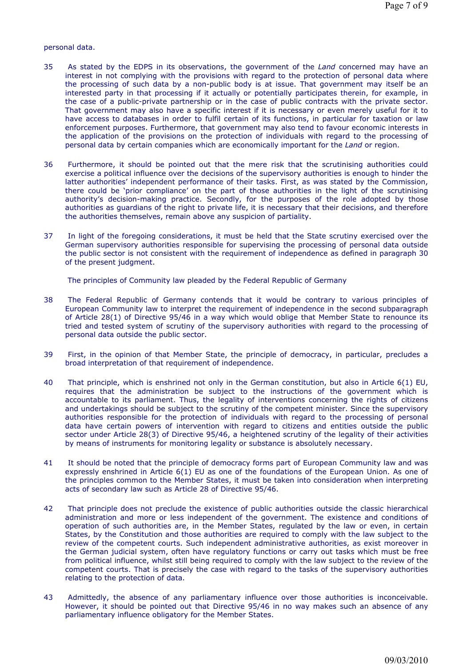### personal data.

- 35 As stated by the EDPS in its observations, the government of the *Land* concerned may have an interest in not complying with the provisions with regard to the protection of personal data where the processing of such data by a non-public body is at issue. That government may itself be an interested party in that processing if it actually or potentially participates therein, for example, in the case of a public-private partnership or in the case of public contracts with the private sector. That government may also have a specific interest if it is necessary or even merely useful for it to have access to databases in order to fulfil certain of its functions, in particular for taxation or law enforcement purposes. Furthermore, that government may also tend to favour economic interests in the application of the provisions on the protection of individuals with regard to the processing of personal data by certain companies which are economically important for the *Land* or region.
- 36 Furthermore, it should be pointed out that the mere risk that the scrutinising authorities could exercise a political influence over the decisions of the supervisory authorities is enough to hinder the latter authorities' independent performance of their tasks. First, as was stated by the Commission, there could be 'prior compliance' on the part of those authorities in the light of the scrutinising authority's decision-making practice. Secondly, for the purposes of the role adopted by those authorities as guardians of the right to private life, it is necessary that their decisions, and therefore the authorities themselves, remain above any suspicion of partiality.
- 37 In light of the foregoing considerations, it must be held that the State scrutiny exercised over the German supervisory authorities responsible for supervising the processing of personal data outside the public sector is not consistent with the requirement of independence as defined in paragraph 30 of the present judgment.

The principles of Community law pleaded by the Federal Republic of Germany

- 38 The Federal Republic of Germany contends that it would be contrary to various principles of European Community law to interpret the requirement of independence in the second subparagraph of Article 28(1) of Directive 95/46 in a way which would oblige that Member State to renounce its tried and tested system of scrutiny of the supervisory authorities with regard to the processing of personal data outside the public sector.
- 39 First, in the opinion of that Member State, the principle of democracy, in particular, precludes a broad interpretation of that requirement of independence.
- 40 That principle, which is enshrined not only in the German constitution, but also in Article 6(1) EU, requires that the administration be subject to the instructions of the government which is accountable to its parliament. Thus, the legality of interventions concerning the rights of citizens and undertakings should be subject to the scrutiny of the competent minister. Since the supervisory authorities responsible for the protection of individuals with regard to the processing of personal data have certain powers of intervention with regard to citizens and entities outside the public sector under Article 28(3) of Directive 95/46, a heightened scrutiny of the legality of their activities by means of instruments for monitoring legality or substance is absolutely necessary.
- 41 It should be noted that the principle of democracy forms part of European Community law and was expressly enshrined in Article 6(1) EU as one of the foundations of the European Union. As one of the principles common to the Member States, it must be taken into consideration when interpreting acts of secondary law such as Article 28 of Directive 95/46.
- 42 That principle does not preclude the existence of public authorities outside the classic hierarchical administration and more or less independent of the government. The existence and conditions of operation of such authorities are, in the Member States, regulated by the law or even, in certain States, by the Constitution and those authorities are required to comply with the law subject to the review of the competent courts. Such independent administrative authorities, as exist moreover in the German judicial system, often have regulatory functions or carry out tasks which must be free from political influence, whilst still being required to comply with the law subject to the review of the competent courts. That is precisely the case with regard to the tasks of the supervisory authorities relating to the protection of data.
- 43 Admittedly, the absence of any parliamentary influence over those authorities is inconceivable. However, it should be pointed out that Directive 95/46 in no way makes such an absence of any parliamentary influence obligatory for the Member States.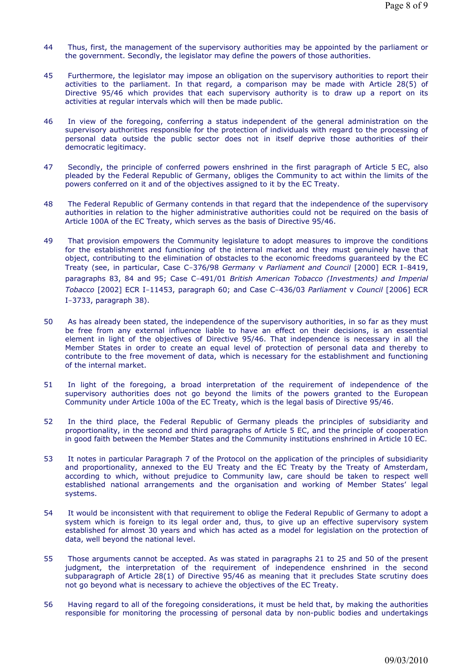- 44 Thus, first, the management of the supervisory authorities may be appointed by the parliament or the government. Secondly, the legislator may define the powers of those authorities.
- 45 Furthermore, the legislator may impose an obligation on the supervisory authorities to report their activities to the parliament. In that regard, a comparison may be made with Article 28(5) of Directive 95/46 which provides that each supervisory authority is to draw up a report on its activities at regular intervals which will then be made public.
- 46 In view of the foregoing, conferring a status independent of the general administration on the supervisory authorities responsible for the protection of individuals with regard to the processing of personal data outside the public sector does not in itself deprive those authorities of their democratic legitimacy.
- 47 Secondly, the principle of conferred powers enshrined in the first paragraph of Article 5 EC, also pleaded by the Federal Republic of Germany, obliges the Community to act within the limits of the powers conferred on it and of the objectives assigned to it by the EC Treaty.
- 48 The Federal Republic of Germany contends in that regard that the independence of the supervisory authorities in relation to the higher administrative authorities could not be required on the basis of Article 100A of the EC Treaty, which serves as the basis of Directive 95/46.
- 49 That provision empowers the Community legislature to adopt measures to improve the conditions for the establishment and functioning of the internal market and they must genuinely have that object, contributing to the elimination of obstacles to the economic freedoms guaranteed by the EC Treaty (see, in particular, Case C-376/98 *Germany* v *Parliament and Council* [2000] ECR I-8419, paragraphs 83, 84 and 95; Case C-491/01 *British American Tobacco (Investments) and Imperial Tobacco* [2002] ECR I-11453, paragraph 60; and Case C-436/03 *Parliament* v *Council* [2006] ECR I-3733, paragraph 38).
- 50 As has already been stated, the independence of the supervisory authorities, in so far as they must be free from any external influence liable to have an effect on their decisions, is an essential element in light of the objectives of Directive 95/46. That independence is necessary in all the Member States in order to create an equal level of protection of personal data and thereby to contribute to the free movement of data, which is necessary for the establishment and functioning of the internal market.
- 51 In light of the foregoing, a broad interpretation of the requirement of independence of the supervisory authorities does not go beyond the limits of the powers granted to the European Community under Article 100a of the EC Treaty, which is the legal basis of Directive 95/46.
- 52 In the third place, the Federal Republic of Germany pleads the principles of subsidiarity and proportionality, in the second and third paragraphs of Article 5 EC, and the principle of cooperation in good faith between the Member States and the Community institutions enshrined in Article 10 EC.
- 53 It notes in particular Paragraph 7 of the Protocol on the application of the principles of subsidiarity and proportionality, annexed to the EU Treaty and the EC Treaty by the Treaty of Amsterdam, according to which, without prejudice to Community law, care should be taken to respect well established national arrangements and the organisation and working of Member States' legal systems.
- 54 It would be inconsistent with that requirement to oblige the Federal Republic of Germany to adopt a system which is foreign to its legal order and, thus, to give up an effective supervisory system established for almost 30 years and which has acted as a model for legislation on the protection of data, well beyond the national level.
- 55 Those arguments cannot be accepted. As was stated in paragraphs 21 to 25 and 50 of the present judgment, the interpretation of the requirement of independence enshrined in the second subparagraph of Article 28(1) of Directive 95/46 as meaning that it precludes State scrutiny does not go beyond what is necessary to achieve the objectives of the EC Treaty.
- 56 Having regard to all of the foregoing considerations, it must be held that, by making the authorities responsible for monitoring the processing of personal data by non-public bodies and undertakings